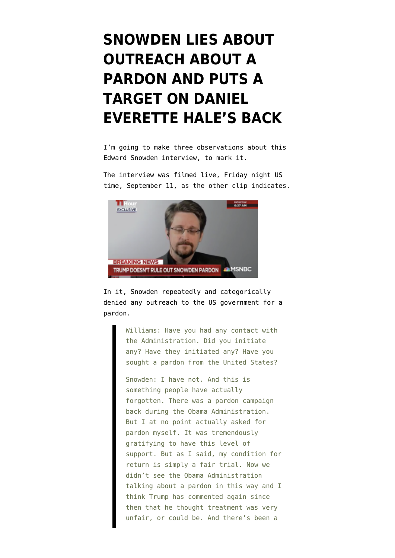## **[SNOWDEN LIES ABOUT](https://www.emptywheel.net/2020/09/15/snowden-lies-about-outreach-about-a-pardon-and-puts-a-target-on-daniel-everette-hales-back/) [OUTREACH ABOUT A](https://www.emptywheel.net/2020/09/15/snowden-lies-about-outreach-about-a-pardon-and-puts-a-target-on-daniel-everette-hales-back/) [PARDON AND PUTS A](https://www.emptywheel.net/2020/09/15/snowden-lies-about-outreach-about-a-pardon-and-puts-a-target-on-daniel-everette-hales-back/) [TARGET ON DANIEL](https://www.emptywheel.net/2020/09/15/snowden-lies-about-outreach-about-a-pardon-and-puts-a-target-on-daniel-everette-hales-back/) [EVERETTE HALE'S BACK](https://www.emptywheel.net/2020/09/15/snowden-lies-about-outreach-about-a-pardon-and-puts-a-target-on-daniel-everette-hales-back/)**

I'm going to make three observations about this Edward Snowden interview, to mark it.

The interview was filmed live, Friday night US time, September 11, as [the other clip indicates.](https://www.msnbc.com/11th-hour/watch/edward-snowden-reacts-to-russia-meddling-in-u-s-elections-91579461517)



In it, Snowden repeatedly and categorically denied any outreach to the US government for a pardon.

> Williams: Have you had any contact with the Administration. Did you initiate any? Have they initiated any? Have you sought a pardon from the United States?

Snowden: I have not. And this is something people have actually forgotten. There was a pardon campaign back during the Obama Administration. But I at no point actually asked for pardon myself. It was tremendously gratifying to have this level of support. But as I said, my condition for return is simply a fair trial. Now we didn't see the Obama Administration talking about a pardon in this way and I think Trump has commented again since then that he thought treatment was very unfair, or could be. And there's been a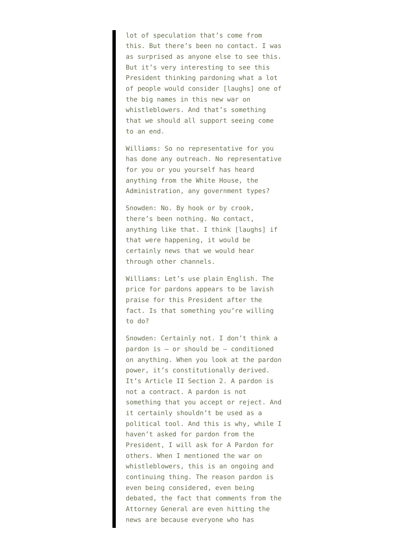lot of speculation that's come from this. But there's been no contact. I was as surprised as anyone else to see this. But it's very interesting to see this President thinking pardoning what a lot of people would consider [laughs] one of the big names in this new war on whistleblowers. And that's something that we should all support seeing come to an end.

Williams: So no representative for you has done any outreach. No representative for you or you yourself has heard anything from the White House, the Administration, any government types?

Snowden: No. By hook or by crook, there's been nothing. No contact, anything like that. I think [laughs] if that were happening, it would be certainly news that we would hear through other channels.

Williams: Let's use plain English. The price for pardons appears to be lavish praise for this President after the fact. Is that something you're willing to do?

Snowden: Certainly not. I don't think a pardon is — or should be — conditioned on anything. When you look at the pardon power, it's constitutionally derived. It's Article II Section 2. A pardon is not a contract. A pardon is not something that you accept or reject. And it certainly shouldn't be used as a political tool. And this is why, while I haven't asked for pardon from the President, I will ask for A Pardon for others. When I mentioned the war on whistleblowers, this is an ongoing and continuing thing. The reason pardon is even being considered, even being debated, the fact that comments from the Attorney General are even hitting the news are because everyone who has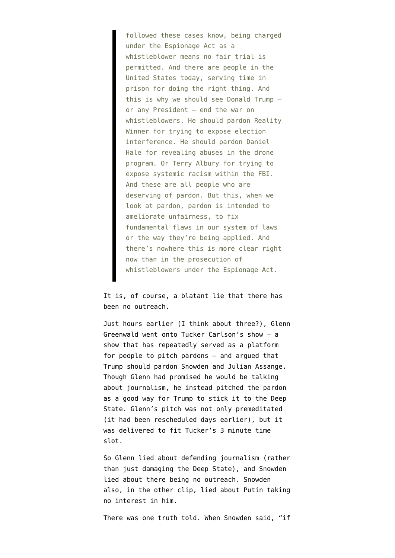followed these cases know, being charged under the Espionage Act as a whistleblower means no fair trial is permitted. And there are people in the United States today, serving time in prison for doing the right thing. And this is why we should see Donald Trump or any President — end the war on whistleblowers. He should pardon Reality Winner for trying to expose election interference. He should pardon Daniel Hale for revealing abuses in the drone program. Or Terry Albury for trying to expose systemic racism within the FBI. And these are all people who are deserving of pardon. But this, when we look at pardon, pardon is intended to ameliorate unfairness, to fix fundamental flaws in our system of laws or the way they're being applied. And there's nowhere this is more clear right now than in the prosecution of whistleblowers under the Espionage Act.

It is, of course, a blatant lie that there has been no outreach.

Just hours earlier (I think about three?), Glenn Greenwald went onto Tucker Carlson's show — a show that has repeatedly served as a platform for people to pitch pardons — and [argued](https://www.emptywheel.net/2020/09/12/glenn-greenwald-moves-to-close-the-deal-on-trumps-election-help-quid-pro-quo/) that Trump should pardon Snowden and Julian Assange. Though Glenn had promised he would be talking about journalism, he instead pitched the pardon as a good way for Trump to stick it to the Deep State. Glenn's pitch was not only premeditated (it had been rescheduled days earlier), but it was delivered to fit Tucker's 3 minute time slot.

So Glenn lied about defending journalism (rather than just damaging the Deep State), and Snowden lied about there being no outreach. Snowden also, in the other clip, lied about Putin taking no interest in him.

There was one truth told. When Snowden said, "if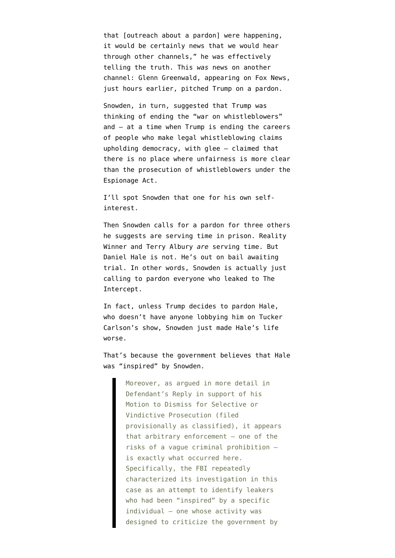that [outreach about a pardon] were happening, it would be certainly news that we would hear through other channels," he was effectively telling the truth. This *was* news on another channel: Glenn Greenwald, appearing on Fox News, just hours earlier, pitched Trump on a pardon.

Snowden, in turn, suggested that Trump was thinking of ending the "war on whistleblowers" and — at a time when Trump is ending the careers of people who make legal whistleblowing claims upholding democracy, with glee — claimed that there is no place where unfairness is more clear than the prosecution of whistleblowers under the Espionage Act.

I'll spot Snowden that one for his own selfinterest.

Then Snowden calls for a pardon for three others he suggests are serving time in prison. Reality Winner and Terry Albury *are* serving time. But Daniel Hale is not. He's out on bail awaiting trial. In other words, Snowden is actually just calling to pardon everyone who leaked to The Intercept.

In fact, unless Trump decides to pardon Hale, who doesn't have anyone lobbying him on Tucker Carlson's show, Snowden just made Hale's life worse.

That's because the government [believes](https://www.courtlistener.com/recap/gov.uscourts.vaed.405902/gov.uscourts.vaed.405902.82.0.pdf) that Hale was "inspired" by Snowden.

Moreover, as argued in more detail in Defendant's Reply in support of his Motion to Dismiss for Selective or Vindictive Prosecution (filed provisionally as classified), it appears that arbitrary enforcement – one of the risks of a vague criminal prohibition – is exactly what occurred here. Specifically, the FBI repeatedly characterized its investigation in this case as an attempt to identify leakers who had been "inspired" by a specific individual – one whose activity was designed to criticize the government by